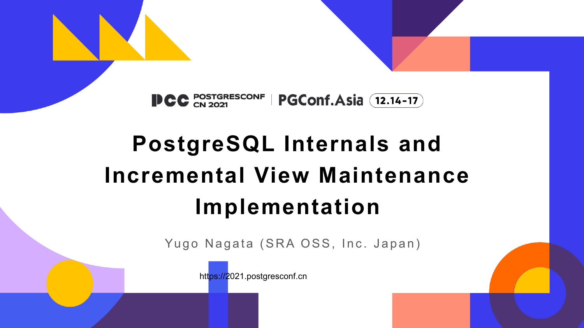

# **PostgreSQL Internals and Incremental View Maintenance Implementation**

Yugo Nagata (SRA OSS, Inc. Japan)

https://2021.postgresconf.cn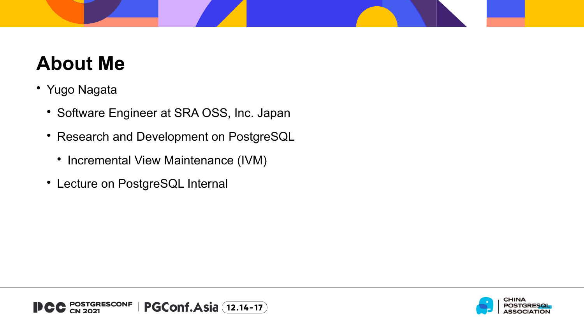# **About Me**

- Yugo Nagata
	- Software Engineer at SRA OSS, Inc. Japan
	- Research and Development on PostgreSQL
		- Incremental View Maintenance (IVM)
	- Lecture on PostgreSQL Internal

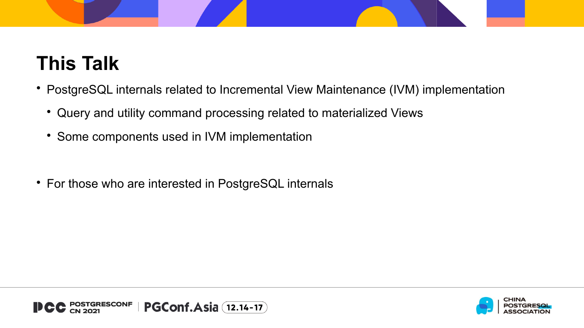

## **This Talk**

- PostgreSQL internals related to Incremental View Maintenance (IVM) implementation
	- Query and utility command processing related to materialized Views
	- Some components used in IVM implementation
- For those who are interested in PostgreSQL internals

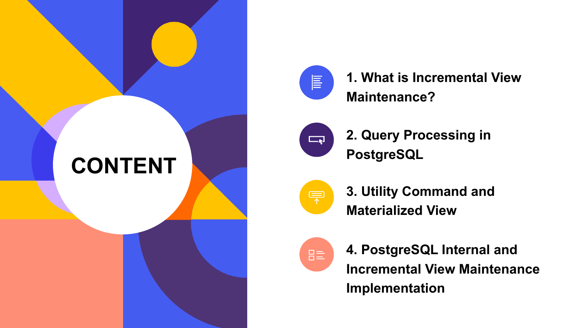



**1. What is Incremental View Maintenance?**



**2. Query Processing in PostgreSQL** 



**3. Utility Command and Materialized View**



**4. PostgreSQL Internal and Incremental View Maintenance Implementation**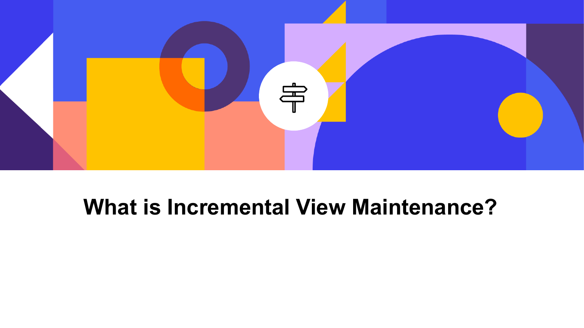

## **What is Incremental View Maintenance?**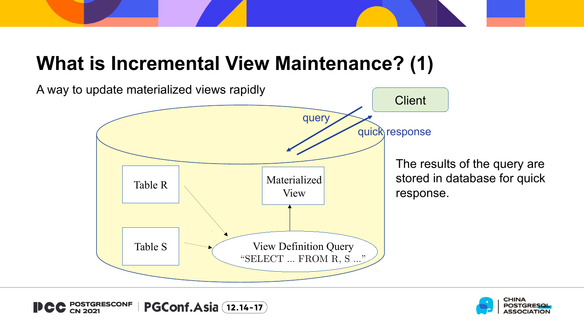### **What is Incremental View Maintenance? (1)**



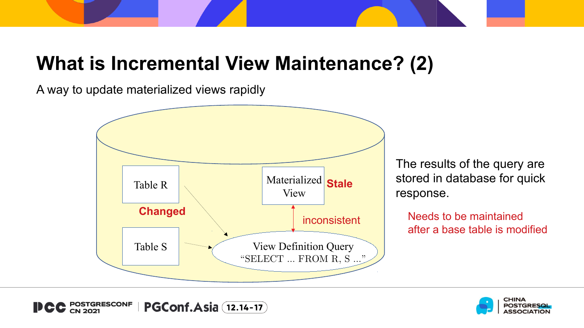## **What is Incremental View Maintenance? (2)**

A way to update materialized views rapidly



The results of the query are stored in database for quick response.

Needs to be maintained after a base table is modified



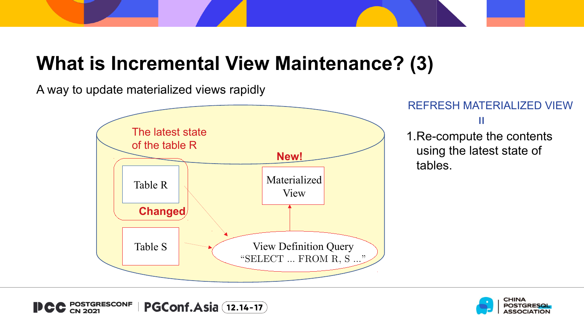## **What is Incremental View Maintenance? (3)**

A way to update materialized views rapidly



#### REFRESH MATERIALIZED VIEW

=

1.Re-compute the contents using the latest state of tables.

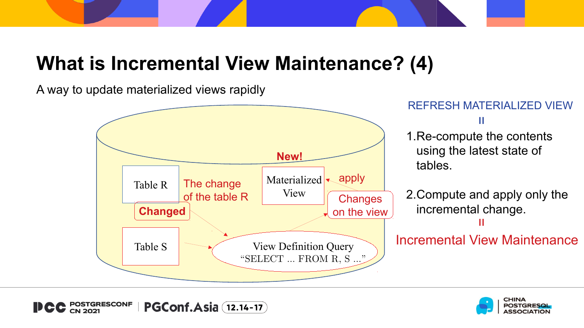## **What is Incremental View Maintenance? (4)**

A way to update materialized views rapidly





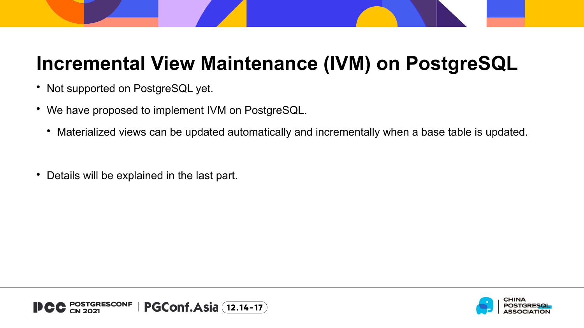### **Incremental View Maintenance (IVM) on PostgreSQL**

- Not supported on PostgreSQL yet.
- We have proposed to implement IVM on PostgreSQL.
	- Materialized views can be updated automatically and incrementally when a base table is updated.
- Details will be explained in the last part.



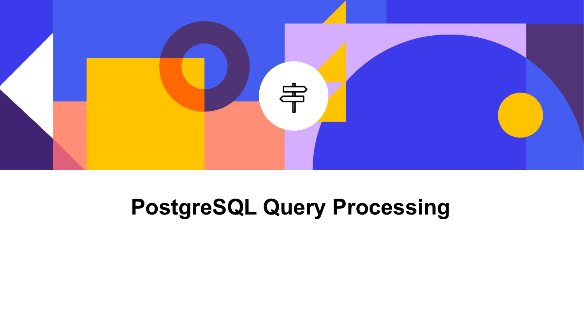

# **PostgreSQL Query Processing**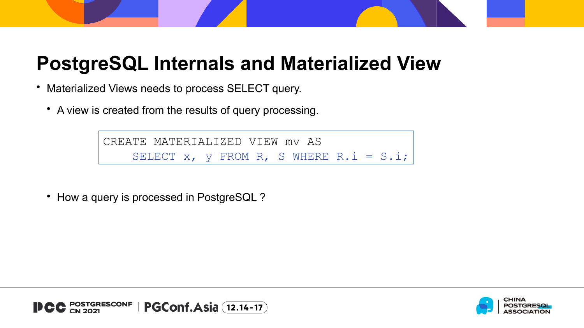#### **PostgreSQL Internals and Materialized View**

- Materialized Views needs to process SELECT query.
	- A view is created from the results of query processing.

CREATE MATERIALIZED VIEW mv AS SELECT  $x$ ,  $y$  FROM R, S WHERE R.i = S.i;

• How a query is processed in PostgreSQL?

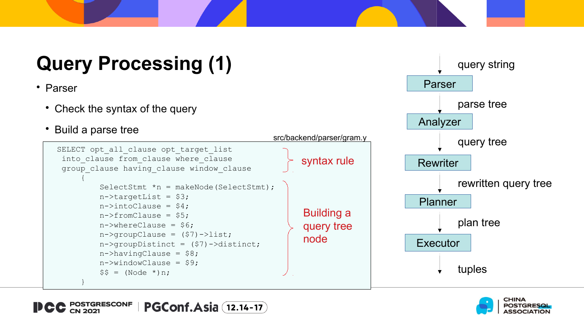# **Query Processing (1)**

- Parser
	- Check the syntax of the query
	- Build a parse tree







Parser

query string

parse tree

Analyzer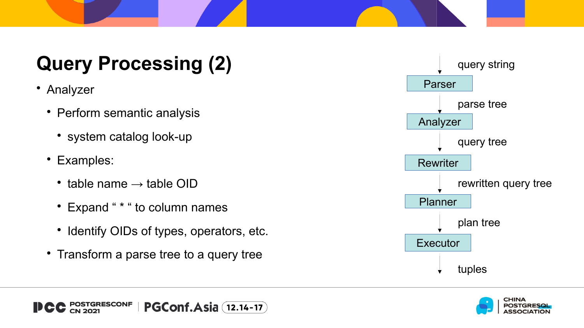# **Query Processing (2)**

- Analyzer
	- Perform semantic analysis
		- system catalog look-up
	- Examples:
		- table name  $\rightarrow$  table OID
		- Expand " \* " to column names
		- Identify OIDs of types, operators, etc.
	- Transform a parse tree to a query tree



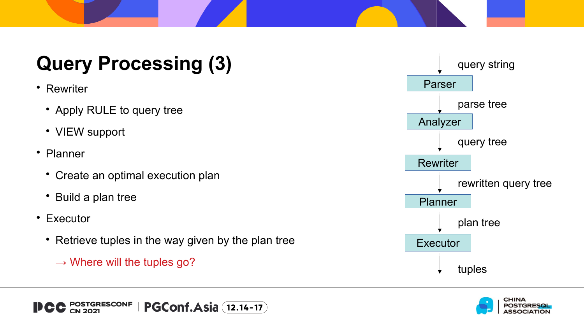# **Query Processing (3)**

- Rewriter
	- Apply RULE to query tree
	- VIEW support
- Planner
	- Create an optimal execution plan
	- Build a plan tree
- Executor
	- Retrieve tuples in the way given by the plan tree
		- $\rightarrow$  Where will the tuples go?



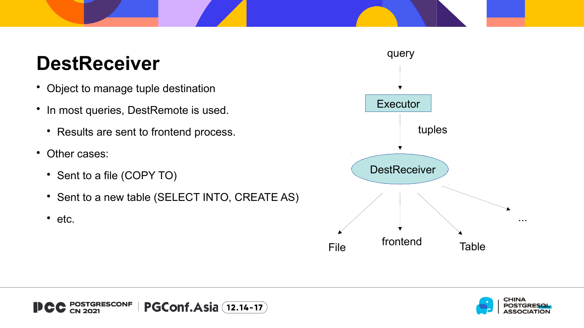## **DestReceiver**

- Object to manage tuple destination
- In most queries, DestRemote is used.
	- Results are sent to frontend process.
- Other cases:
	- Sent to a file (COPY TO)
	- Sent to a new table (SELECT INTO, CREATE AS)
	- etc.



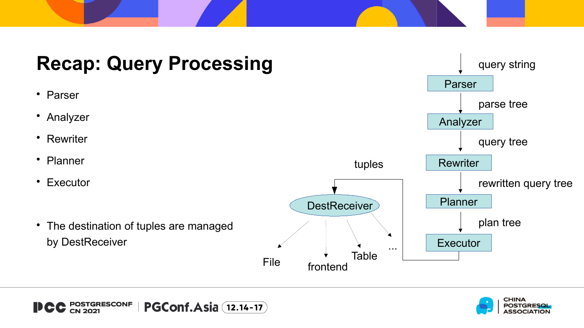



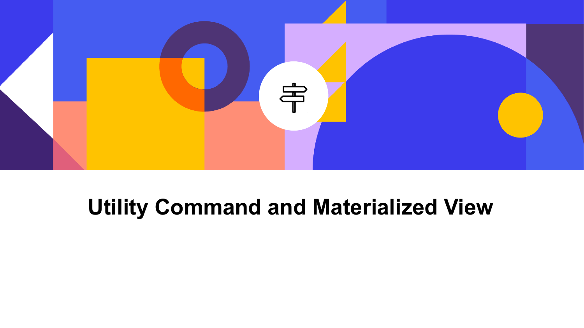

# **Utility Command and Materialized View**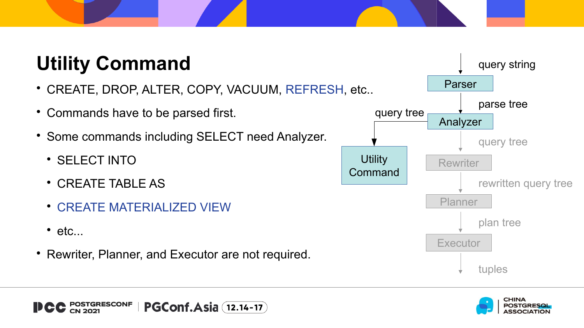# **Utility Command**

- CREATE, DROP, ALTER, COPY, VACUUM, REFRESH, etc..
- Commands have to be parsed first.
- Some commands including SELECT need Analyzer.
	- **SELECT INTO**
	- CREATE TABLE AS
	- CREATE MATERIALIZED VIEW
	- $\cdot$  etc...
- Rewriter, Planner, and Executor are not required.



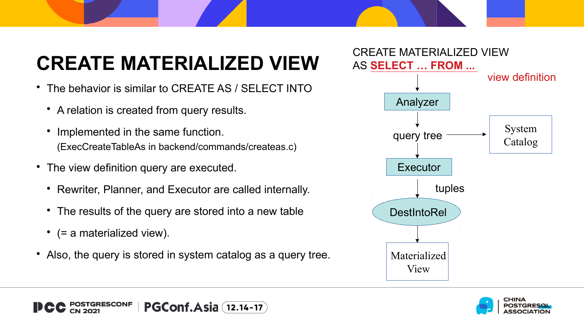# **CREATE MATERIALIZED VIEW**

- The behavior is similar to CREATE AS / SELECT INTO
	- A relation is created from query results.
	- Implemented in the same function. (ExecCreateTableAs in backend/commands/createas.c)
- The view definition query are executed.
	- Rewriter, Planner, and Executor are called internally.
	- The results of the query are stored into a new table
	- (= a materialized view).
- Also, the query is stored in system catalog as a query tree.



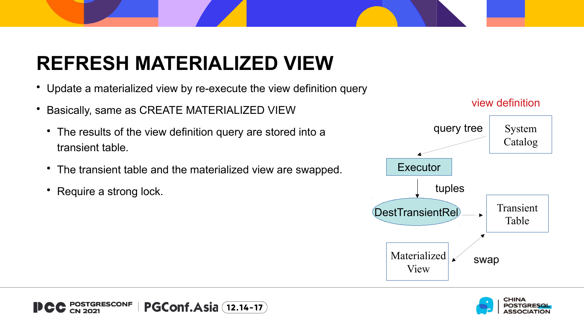# **REFRESH MATERIALIZED VIEW**

- Update a materialized view by re-execute the view definition query
- Basically, same as CREATE MATERIALIZED VIEW
	- The results of the view definition query are stored into a transient table.
	- The transient table and the materialized view are swapped.
	- Require a strong lock.



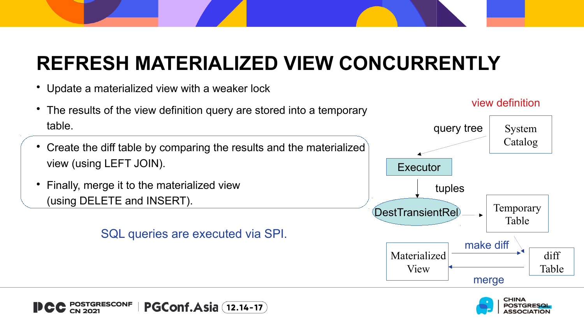# **REFRESH MATERIALIZED VIEW CONCURRENTLY**

Update a materialized view with a weaker lock



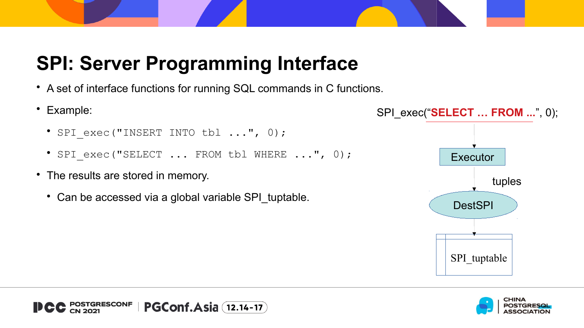## **SPI: Server Programming Interface**

- A set of interface functions for running SQL commands in C functions.
- Example:
	- SPI\_exec("INSERT INTO tbl ...", 0);
	- SPI exec("SELECT ... FROM tbl WHERE ...", 0);
- The results are stored in memory.
	- Can be accessed via a global variable SPI\_tuptable.



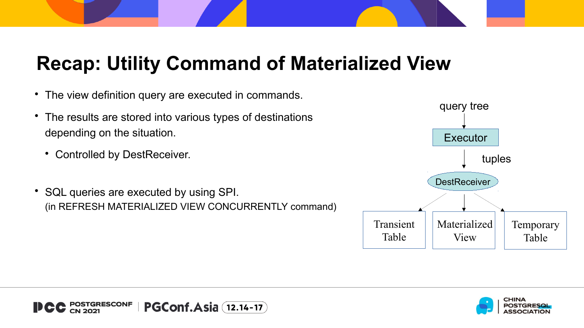## **Recap: Utility Command of Materialized View**

- The view definition query are executed in commands.
- The results are stored into various types of destinations depending on the situation.
	- Controlled by DestReceiver.
- SQL queries are executed by using SPI. (in REFRESH MATERIALIZED VIEW CONCURRENTLY command)





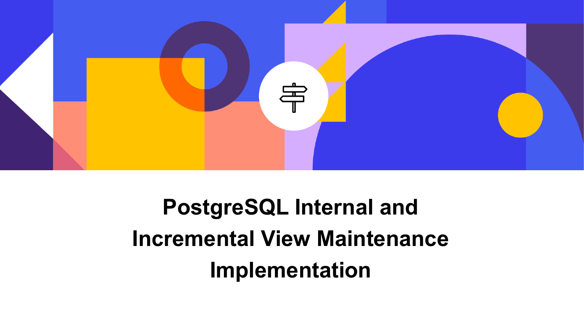

# **PostgreSQL Internal and Incremental View Maintenance Implementation**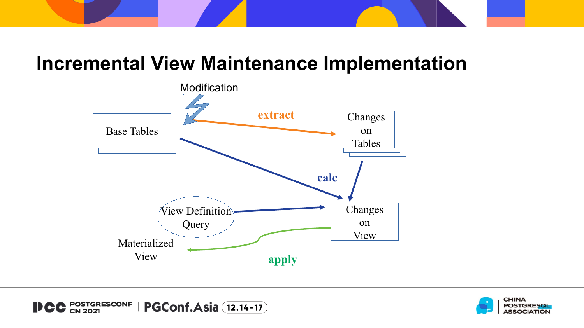#### **Incremental View Maintenance Implementation**



**POSTGRESCONF<br>CN 2021 PGConf.Asia** (12.14-17) DCC

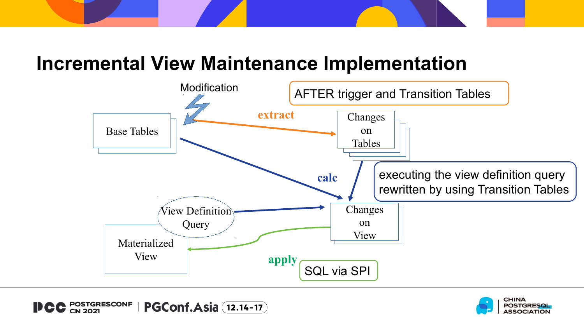#### **Incremental View Maintenance Implementation**



**POSTGRESCONF<br>CN 2021 PGConf.Asia** (12.14-17)

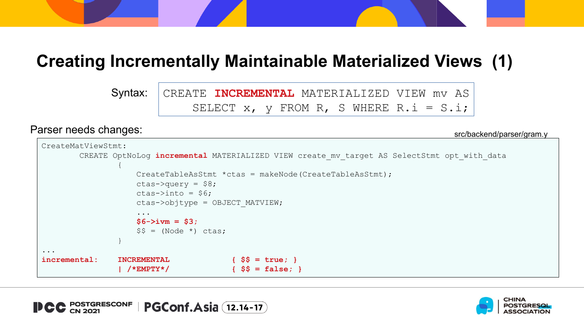#### **Creating Incrementally Maintainable Materialized Views (1)**

CREATE **INCREMENTAL** MATERIALIZED VIEW mv AS SELECT  $x$ ,  $y$  FROM R, S WHERE R.i = S.i; Syntax:

#### Parser needs changes:

src/backend/parser/gram.y

```
CreateMatViewStmt:
        CREATE OptNoLog incremental MATERIALIZED VIEW create_mv_target AS SelectStmt opt_with_data
 {
                   CreateTableAsStmt *ctas = makeNode(CreateTableAsStmt);
                  ctas->query = $8;
                  ctas->into = $6;ctas->objtype = OBJECT_MATVIEW;
                  ...
                  $6->ivm = $3;
                  $§ = (Node * ) \text{ class}; }
...
incremental: INCREMENTAL { $$ = true; }
               | /*EMPTY*/ { $$ = false; }
```
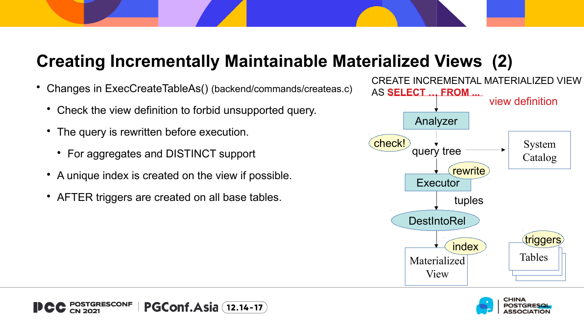#### **Creating Incrementally Maintainable Materialized Views (2)**

- Changes in ExecCreateTableAs() (backend/commands/createas.c)
	- Check the view definition to forbid unsupported query.
	- The query is rewritten before execution.
		- For aggregates and DISTINCT support
	- A unique index is created on the view if possible.
	- AFTER triggers are created on all base tables.



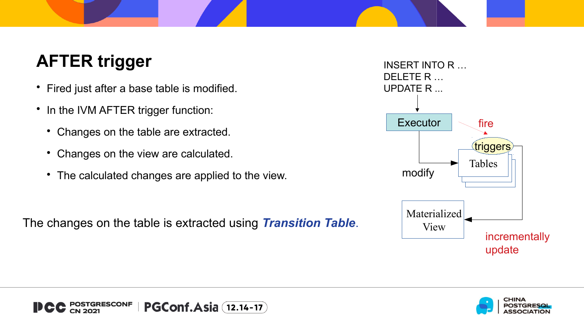#### **AFTER trigger**

- Fired just after a base table is modified.
- In the IVM AFTER trigger function:
	- Changes on the table are extracted.
	- Changes on the view are calculated.
	- The calculated changes are applied to the view.

The changes on the table is extracted using *Transition Table*.





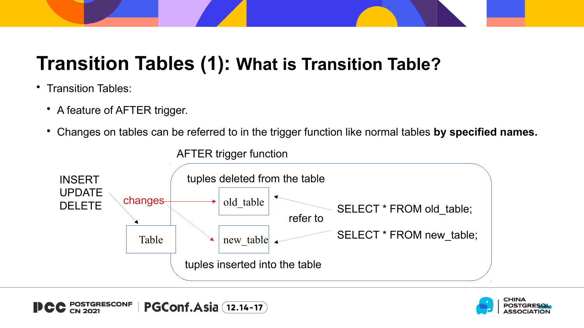## **Transition Tables (1): What is Transition Table?**

- Transition Tables:
	- A feature of AFTER trigger.
	- Changes on tables can be referred to in the trigger function like normal tables **by specified names.**



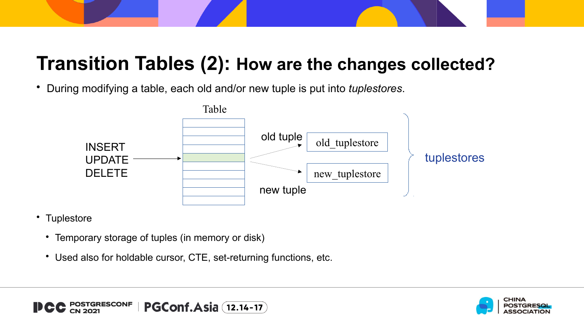#### **Transition Tables (2): How are the changes collected?**

During modifying a table, each old and/or new tuple is put into *tuplestores*.



- Tuplestore
	- Temporary storage of tuples (in memory or disk)
	- Used also for holdable cursor, CTE, set-returning functions, etc.



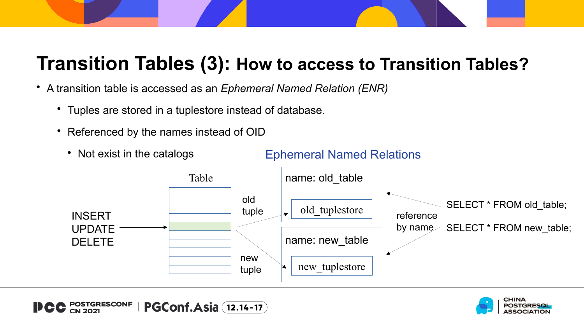#### **Transition Tables (3): How to access to Transition Tables?**

- A transition table is accessed as an *Ephemeral Named Relation (ENR)*
	- Tuples are stored in a tuplestore instead of database.
	- Referenced by the names instead of OID
		- Not exist in the catalogs INSERT UPDATE DELETE old tuplestore new\_tuplestore Table old tuple new tuple name: old\_table name: new\_table Ephemeral Named Relations SELECT \* FROM old table; by name SELECT \* FROM new\_table; reference

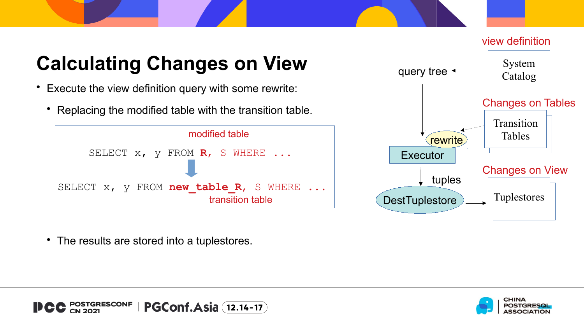# **Calculating Changes on View**

- Execute the view definition query with some rewrite:
	- Replacing the modified table with the transition table.





The results are stored into a tuplestores.



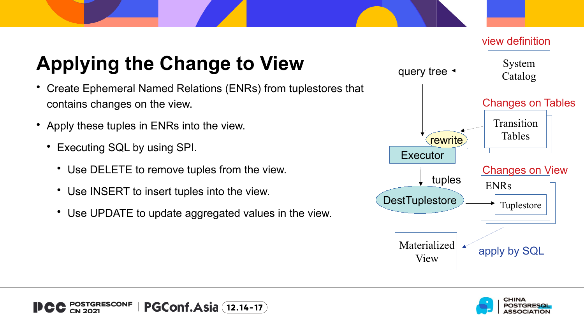# **Applying the Change to View**

- Create Ephemeral Named Relations (ENRs) from tuplestores that contains changes on the view.
- Apply these tuples in ENRs into the view.
	- Executing SQL by using SPI.
		- Use DELETE to remove tuples from the view.
		- Use INSERT to insert tuples into the view.
		- Use UPDATE to update aggregated values in the view.







view definition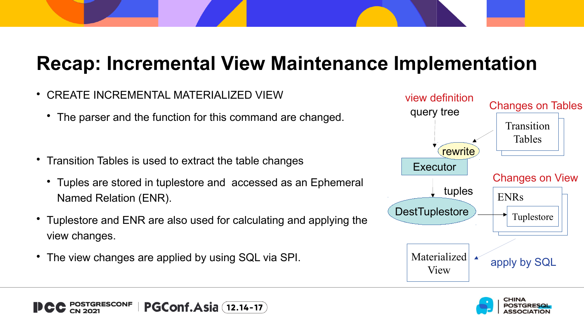#### **Recap: Incremental View Maintenance Implementation**

- CREATE INCREMENTAL MATERIALIZED VIEW
	- The parser and the function for this command are changed.
- Transition Tables is used to extract the table changes
	- Tuples are stored in tuplestore and accessed as an Ephemeral Named Relation (ENR).
- Tuplestore and ENR are also used for calculating and applying the view changes.
- The view changes are applied by using SQL via SPI.



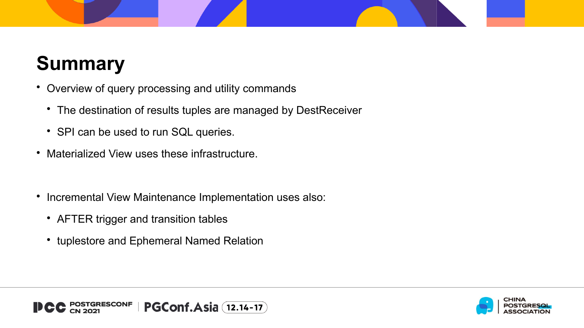# **Summary**

- Overview of query processing and utility commands
	- The destination of results tuples are managed by DestReceiver
	- SPI can be used to run SQL queries.
- Materialized View uses these infrastructure.
- Incremental View Maintenance Implementation uses also:
	- AFTER trigger and transition tables
	- tuplestore and Ephemeral Named Relation